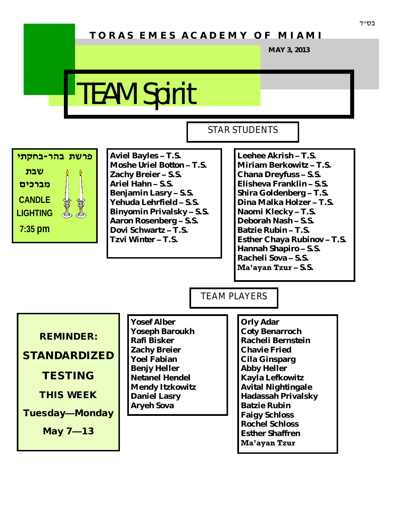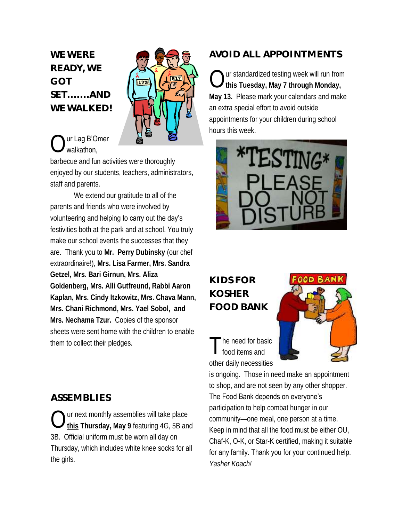**WE WERE READY, WE GOT SET.......AND WE WALKED!**



#### $\bigcirc$ ur Lag B'Omer walkathon,

barbecue and fun activities were thoroughly enjoyed by our students, teachers, administrators, staff and parents.

We extend our gratitude to all of the parents and friends who were involved by volunteering and helping to carry out the day's festivities both at the park and at school. You truly make our school events the successes that they are. Thank you to **Mr. Perry Dubinsky** (our chef extraordinaire!), **Mrs. Lisa Farmer, Mrs. Sandra Getzel, Mrs. Bari Girnun, Mrs. Aliza Goldenberg, Mrs. Alli Gutfreund, Rabbi Aaron Kaplan, Mrs. Cindy Itzkowitz, Mrs. Chava Mann, Mrs. Chani Richmond, Mrs. Yael Sobol, and Mrs. Nechama Tzur.** Copies of the sponsor sheets were sent home with the children to enable them to collect their pledges.

#### **ASSEMBLIES**

 $\bigcirc$ ur next monthly assemblies will take place **this Thursday, May 9** featuring 4G, 5B and 3B. Official uniform must be worn all day on Thursday, which includes white knee socks for all the girls.

#### **AVOID ALL APPOINTMENTS**

 $\bigcirc$ ur standardized testing week will run from **this Tuesday, May 7 through Monday, May 13.** Please mark your calendars and make an extra special effort to avoid outside appointments for your children during school hours this week.



### **KIDS FOR KOSHER FOOD BANK**

T he need for basic food items and other daily necessities



is ongoing. Those in need make an appointment to shop, and are not seen by any other shopper.

#### The Food Bank depends on everyone's

participation to help combat hunger in our community—one meal, one person at a time. Keep in mind that all the food must be either OU, Chaf-K, O-K, or Star-K certified, making it suitable for any family. Thank you for your continued help. *Yasher Koach!*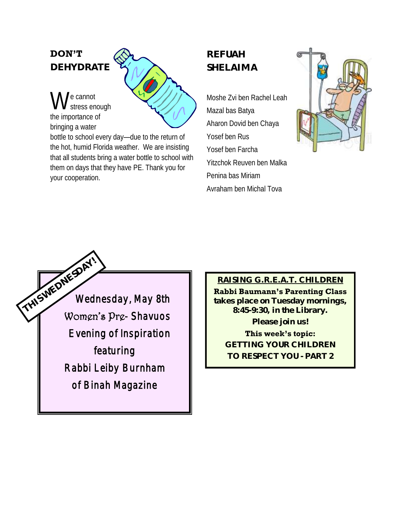### **DON'T DEHYDRATE**

W e cannot stress enough the importance of bringing a water

bottle to school every day—due to the return of the hot, humid Florida weather. We are insisting that all students bring a water bottle to school with them on days that they have PE. Thank you for your cooperation.

## **REFUAH SHELAIMA**

Moshe Zvi ben Rachel Leah Mazal bas Batya Aharon Dovid ben Chaya Yosef ben Rus Yosef ben Farcha Yitzchok Reuven ben Malka Penina bas Miriam Avraham ben Michal Tova





#### **RAISING G.R.E.A.T. CHILDREN**

**Rabbi Baumann's Parenting Class takes place on Tuesday mornings, 8:45-9:30, in the Library. Please join us!**

**This week's topic: GETTING YOUR CHILDREN TO RESPECT YOU - PART 2**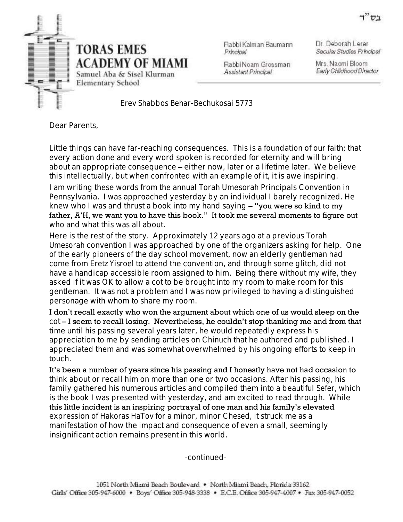

Rabbi Kalman Baumann Principal

Dr. Deborah Lerer Secular Studies Principal

Rabbi Noam Grossman Assistant Principal

Mrs. Naomi Bloom Early Childhood Director

*Erev Shabbos Behar-Bechukosai* 5773

Dear Parents,

Little things can have far-reaching consequences. This is a foundation of our faith; that every action done and every word spoken is recorded for eternity and will bring about an appropriate consequence – either now, later or a lifetime later. We believe this intellectually, but when confronted with an example of it, it is awe inspiring.

I am writing these words from the annual Torah Umesorah Principals Convention in Pennsylvania. I was approached yesterday by an individual I barely recognized. He knew who I was and thrust a book into my hand saying - "you were so kind to my father, A'H, we want you to have this book." It took me several moments to figure out who and what this was all about.

Here is the rest of the story. Approximately 12 years ago at a previous *Torah Umesorah* convention I was approached by one of the organizers asking for help. One of the early pioneers of the day school movement, now an elderly gentleman had come from *Eretz Yisroel* to attend the convention, and through some glitch, did not have a handicap accessible room assigned to him. Being there without my wife, they asked if it was OK to allow a cot to be brought into my room to make room for this gentleman. It was not a problem and I was now privileged to having a distinguished personage with whom to share my room.

I don't recall exactly who won the argument about which one of us would sleep on the cot – I seem to recall losing. Nevertheless, he couldn't stop thanking me and from that time until his passing several years later, he would repeatedly express his appreciation to me by sending articles on *Chinuch* that he authored and published. I appreciated them and was somewhat overwhelmed by his ongoing efforts to keep in touch.

It's been a number of years since his passing and I honestly have not had occasion to think about or recall him on more than one or two occasions. After his passing, his family gathered his numerous articles and compiled them into a beautiful *Sefer*, which is the book I was presented with yesterday, and am excited to read through. While this little incident is an inspiring portrayal of one man and his family's elevated expression of *Hakoras HaTov* for a minor, minor *Chesed*, it struck me as a manifestation of how the impact and consequence of even a small, seemingly insignificant action remains present in this world.

-continued-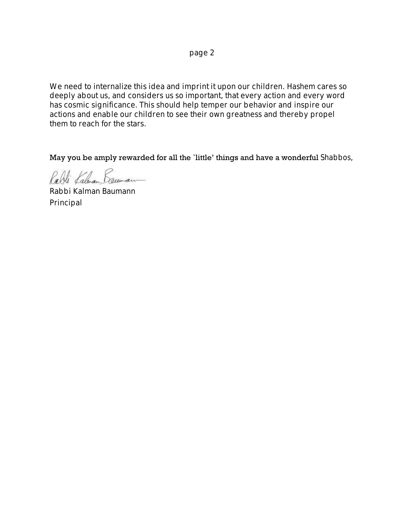page 2

We need to internalize this idea and imprint it upon our children. *Hashem* cares so deeply about us, and considers us so important, that every action and every word has cosmic significance. This should help temper our behavior and inspire our actions and enable our children to see their own greatness and thereby propel them to reach for the stars.

May you be amply rewarded for all the `little' things and have a wonderful *Shabbos*,

Rabli Kaluan Lounan

Rabbi Kalman Baumann Principal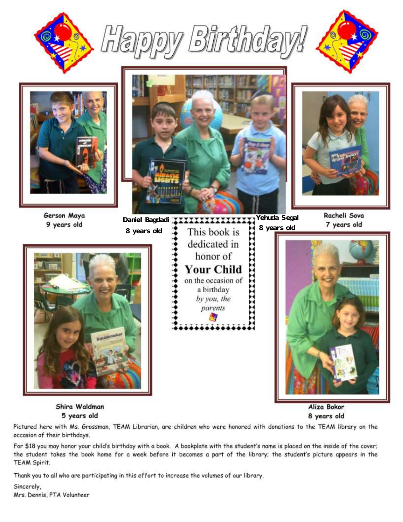







Gerson Maya 9 years old







 $\mathcal{L}_{\mathcal{A}}$ 





Aliza Bokor 8 years old

Shira Waldman 5 years old

Pictured here with Ms. Grossman, TEAM Librarian, are children who were honored with donations to the TEAM library on the occasion of their birthdays.

For \$18 you may honor your child's birthday with a book. A bookplate with the student's name is placed on the inside of the cover; the student takes the book home for a week before it becomes a part of the library; the student's picture appears in the TEAM Spirit.

Thank you to all who are participating in this effort to increase the volumes of our library.

Sincerely, Mrs. Dennis, PTA Volunteer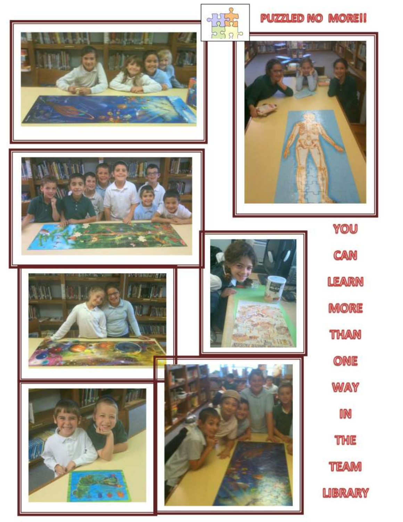